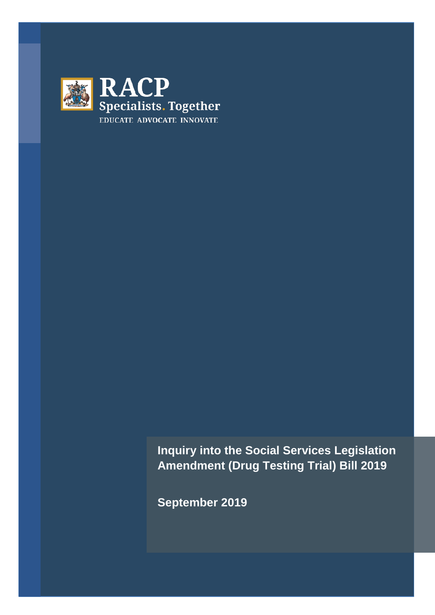

**Inquiry into the Social Services Legislation Amendment (Drug Testing Trial) Bill 2019**

**September 2019**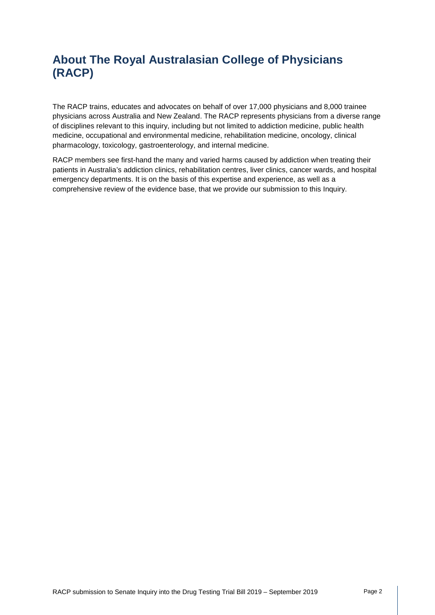# **About The Royal Australasian College of Physicians (RACP)**

The RACP trains, educates and advocates on behalf of over 17,000 physicians and 8,000 trainee physicians across Australia and New Zealand. The RACP represents physicians from a diverse range of disciplines relevant to this inquiry, including but not limited to addiction medicine, public health medicine, occupational and environmental medicine, rehabilitation medicine, oncology, clinical pharmacology, toxicology, gastroenterology, and internal medicine.

RACP members see first-hand the many and varied harms caused by addiction when treating their patients in Australia's addiction clinics, rehabilitation centres, liver clinics, cancer wards, and hospital emergency departments. It is on the basis of this expertise and experience, as well as a comprehensive review of the evidence base, that we provide our submission to this Inquiry.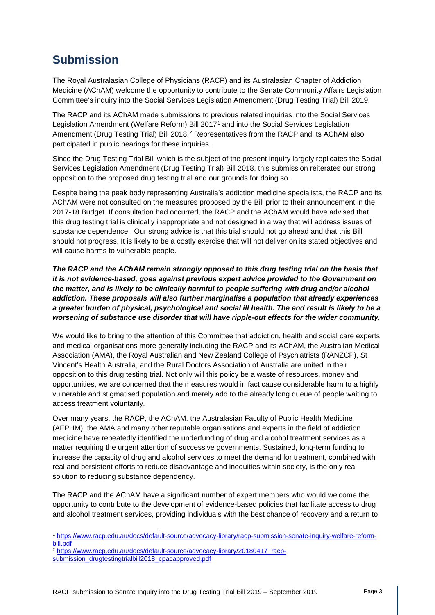## **Submission**

The Royal Australasian College of Physicians (RACP) and its Australasian Chapter of Addiction Medicine (AChAM) welcome the opportunity to contribute to the Senate Community Affairs Legislation Committee's inquiry into the Social Services Legislation Amendment (Drug Testing Trial) Bill 2019.

The RACP and its AChAM made submissions to previous related inquiries into the Social Services Legislation Amendment (Welfare Reform) Bill 2017[1](#page-2-0) and into the Social Services Legislation Amendment (Drug Testing Trial) Bill [2](#page-2-1)018.<sup>2</sup> Representatives from the RACP and its AChAM also participated in public hearings for these inquiries.

Since the Drug Testing Trial Bill which is the subject of the present inquiry largely replicates the Social Services Legislation Amendment (Drug Testing Trial) Bill 2018, this submission reiterates our strong opposition to the proposed drug testing trial and our grounds for doing so.

Despite being the peak body representing Australia's addiction medicine specialists, the RACP and its AChAM were not consulted on the measures proposed by the Bill prior to their announcement in the 2017-18 Budget. If consultation had occurred, the RACP and the AChAM would have advised that this drug testing trial is clinically inappropriate and not designed in a way that will address issues of substance dependence. Our strong advice is that this trial should not go ahead and that this Bill should not progress. It is likely to be a costly exercise that will not deliver on its stated objectives and will cause harms to vulnerable people.

*The RACP and the AChAM remain strongly opposed to this drug testing trial on the basis that it is not evidence-based, goes against previous expert advice provided to the Government on the matter, and is likely to be clinically harmful to people suffering with drug and/or alcohol addiction. These proposals will also further marginalise a population that already experiences a greater burden of physical, psychological and social ill health. The end result is likely to be a worsening of substance use disorder that will have ripple-out effects for the wider community.*

We would like to bring to the attention of this Committee that addiction, health and social care experts and medical organisations more generally including the RACP and its AChAM, the Australian Medical Association (AMA), the Royal Australian and New Zealand College of Psychiatrists (RANZCP), St Vincent's Health Australia, and the Rural Doctors Association of Australia are united in their opposition to this drug testing trial. Not only will this policy be a waste of resources, money and opportunities, we are concerned that the measures would in fact cause considerable harm to a highly vulnerable and stigmatised population and merely add to the already long queue of people waiting to access treatment voluntarily.

Over many years, the RACP, the AChAM, the Australasian Faculty of Public Health Medicine (AFPHM), the AMA and many other reputable organisations and experts in the field of addiction medicine have repeatedly identified the underfunding of drug and alcohol treatment services as a matter requiring the urgent attention of successive governments. Sustained, long-term funding to increase the capacity of drug and alcohol services to meet the demand for treatment, combined with real and persistent efforts to reduce disadvantage and inequities within society, is the only real solution to reducing substance dependency.

The RACP and the AChAM have a significant number of expert members who would welcome the opportunity to contribute to the development of evidence-based policies that facilitate access to drug and alcohol treatment services, providing individuals with the best chance of recovery and a return to

<span id="page-2-0"></span><sup>1</sup> [https://www.racp.edu.au/docs/default-source/advocacy-library/racp-submission-senate-inquiry-welfare-reform](https://www.racp.edu.au/docs/default-source/advocacy-library/racp-submission-senate-inquiry-welfare-reform-bill.pdf)[bill.pdf](https://www.racp.edu.au/docs/default-source/advocacy-library/racp-submission-senate-inquiry-welfare-reform-bill.pdf)

<span id="page-2-1"></span><sup>2</sup> [https://www.racp.edu.au/docs/default-source/advocacy-library/20180417\\_racp-](https://www.racp.edu.au/docs/default-source/advocacy-library/20180417_racp-submission_drugtestingtrialbill2018_cpacapproved.pdf)

[submission\\_drugtestingtrialbill2018\\_cpacapproved.pdf](https://www.racp.edu.au/docs/default-source/advocacy-library/20180417_racp-submission_drugtestingtrialbill2018_cpacapproved.pdf)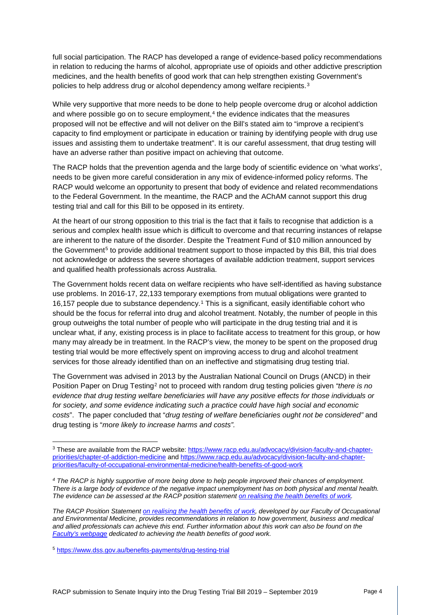full social participation. The RACP has developed a range of evidence-based policy recommendations in relation to reducing the harms of alcohol, appropriate use of opioids and other addictive prescription medicines, and the health benefits of good work that can help strengthen existing Government's policies to help address drug or alcohol dependency among welfare recipients.[3](#page-3-0)

While very supportive that more needs to be done to help people overcome drug or alcohol addiction and where possible go on to secure employment,<sup>[4](#page-3-1)</sup> the evidence indicates that the measures proposed will not be effective and will not deliver on the Bill's stated aim to "improve a recipient's capacity to find employment or participate in education or training by identifying people with drug use issues and assisting them to undertake treatment". It is our careful assessment, that drug testing will have an adverse rather than positive impact on achieving that outcome.

The RACP holds that the prevention agenda and the large body of scientific evidence on 'what works', needs to be given more careful consideration in any mix of evidence-informed policy reforms. The RACP would welcome an opportunity to present that body of evidence and related recommendations to the Federal Government. In the meantime, the RACP and the AChAM cannot support this drug testing trial and call for this Bill to be opposed in its entirety.

At the heart of our strong opposition to this trial is the fact that it fails to recognise that addiction is a serious and complex health issue which is difficult to overcome and that recurring instances of relapse are inherent to the nature of the disorder. Despite the Treatment Fund of \$10 million announced by the Government<sup>[5](#page-3-2)</sup> to provide additional treatment support to those impacted by this Bill, this trial does not acknowledge or address the severe shortages of available addiction treatment, support services and qualified health professionals across Australia.

The Government holds recent data on welfare recipients who have self-identified as having substance use problems. In 2016-17, 22,133 temporary exemptions from mutual obligations were granted to 16,157 people due to substance dependency.[1](#page-13-0) This is a significant, easily identifiable cohort who should be the focus for referral into drug and alcohol treatment. Notably, the number of people in this group outweighs the total number of people who will participate in the drug testing trial and it is unclear what, if any, existing process is in place to facilitate access to treatment for this group, or how many may already be in treatment. In the RACP's view, the money to be spent on the proposed drug testing trial would be more effectively spent on improving access to drug and alcohol treatment services for those already identified than on an ineffective and stigmatising drug testing trial.

The Government was advised in 2013 by the Australian National Council on Drugs (ANCD) in their Position Paper on Drug Testing[2](#page-13-1) not to proceed with random drug testing policies given *"there is no evidence that drug testing welfare beneficiaries will have any positive effects for those individuals or for society, and some evidence indicating such a practice could have high social and economic costs*". The paper concluded that "*drug testing of welfare beneficiaries ought not be considered"* and drug testing is "*more likely to increase harms and costs".*

<span id="page-3-0"></span><sup>&</sup>lt;sup>3</sup> These are available from the RACP website: [https://www.racp.edu.au/advocacy/division-faculty-and-chapter](https://www.racp.edu.au/advocacy/division-faculty-and-chapter-priorities/chapter-of-addiction-medicine)[priorities/chapter-of-addiction-medicine](https://www.racp.edu.au/advocacy/division-faculty-and-chapter-priorities/chapter-of-addiction-medicine) and [https://www.racp.edu.au/advocacy/division-faculty-and-chapter](https://www.racp.edu.au/advocacy/division-faculty-and-chapter-priorities/faculty-of-occupational-environmental-medicine/health-benefits-of-good-work)[priorities/faculty-of-occupational-environmental-medicine/health-benefits-of-good-work](https://www.racp.edu.au/advocacy/division-faculty-and-chapter-priorities/faculty-of-occupational-environmental-medicine/health-benefits-of-good-work)

<span id="page-3-1"></span>*<sup>4</sup> The RACP is highly supportive of more being done to help people improved their chances of employment. There is a large body of evidence of the negative impact unemployment has on both physical and mental health. The evidence can be assessed at the RACP position statemen[t on realising the health benefits of work.](https://www.racp.edu.au/docs/default-source/advocacy-library/realising-the-health-benefits-of-work.pdf?sfvrsn=10)* 

*The RACP Position Statemen[t on realising the health benefits of work,](https://www.racp.edu.au/docs/default-source/advocacy-library/realising-the-health-benefits-of-work.pdf?sfvrsn=10) developed by our Faculty of Occupational and Environmental Medicine, provides recommendations in relation to how government, business and medical and allied professionals can achieve this end. Further information about this work can also be found on the [Faculty's webpage](https://www.racp.edu.au/advocacy/division-faculty-and-chapter-priorities/faculty-of-occupational-environmental-medicine/health-benefits-of-good-work) dedicated to achieving the health benefits of good work.* 

<span id="page-3-2"></span><sup>5</sup> <https://www.dss.gov.au/benefits-payments/drug-testing-trial>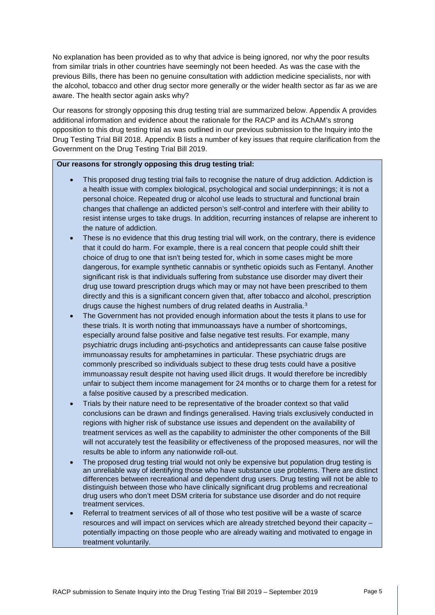No explanation has been provided as to why that advice is being ignored, nor why the poor results from similar trials in other countries have seemingly not been heeded. As was the case with the previous Bills, there has been no genuine consultation with addiction medicine specialists, nor with the alcohol, tobacco and other drug sector more generally or the wider health sector as far as we are aware. The health sector again asks why?

Our reasons for strongly opposing this drug testing trial are summarized below. Appendix A provides additional information and evidence about the rationale for the RACP and its AChAM's strong opposition to this drug testing trial as was outlined in our previous submission to the Inquiry into the Drug Testing Trial Bill 2018. Appendix B lists a number of key issues that require clarification from the Government on the Drug Testing Trial Bill 2019.

#### **Our reasons for strongly opposing this drug testing trial:**

- This proposed drug testing trial fails to recognise the nature of drug addiction. Addiction is a health issue with complex biological, psychological and social underpinnings; it is not a personal choice. Repeated drug or alcohol use leads to structural and functional brain changes that challenge an addicted person's self-control and interfere with their ability to resist intense urges to take drugs. In addition, recurring instances of relapse are inherent to the nature of addiction.
- These is no evidence that this drug testing trial will work, on the contrary, there is evidence that it could do harm. For example, there is a real concern that people could shift their choice of drug to one that isn't being tested for, which in some cases might be more dangerous, for example synthetic cannabis or synthetic opioids such as Fentanyl. Another significant risk is that individuals suffering from substance use disorder may divert their drug use toward prescription drugs which may or may not have been prescribed to them directly and this is a significant concern given that, after tobacco and alcohol, prescription drugs cause the highest numbers of drug related deaths in Australia.[3](#page-13-2)
- The Government has not provided enough information about the tests it plans to use for these trials. It is worth noting that immunoassays have a number of shortcomings, especially around false positive and false negative test results. For example, many psychiatric drugs including anti-psychotics and antidepressants can cause false positive immunoassay results for amphetamines in particular. These psychiatric drugs are commonly prescribed so individuals subject to these drug tests could have a positive immunoassay result despite not having used illicit drugs. It would therefore be incredibly unfair to subject them income management for 24 months or to charge them for a retest for a false positive caused by a prescribed medication.
- Trials by their nature need to be representative of the broader context so that valid conclusions can be drawn and findings generalised. Having trials exclusively conducted in regions with higher risk of substance use issues and dependent on the availability of treatment services as well as the capability to administer the other components of the Bill will not accurately test the feasibility or effectiveness of the proposed measures, nor will the results be able to inform any nationwide roll-out.
- The proposed drug testing trial would not only be expensive but population drug testing is an unreliable way of identifying those who have substance use problems. There are distinct differences between recreational and dependent drug users. Drug testing will not be able to distinguish between those who have clinically significant drug problems and recreational drug users who don't meet DSM criteria for substance use disorder and do not require treatment services.
- Referral to treatment services of all of those who test positive will be a waste of scarce resources and will impact on services which are already stretched beyond their capacity – potentially impacting on those people who are already waiting and motivated to engage in treatment voluntarily.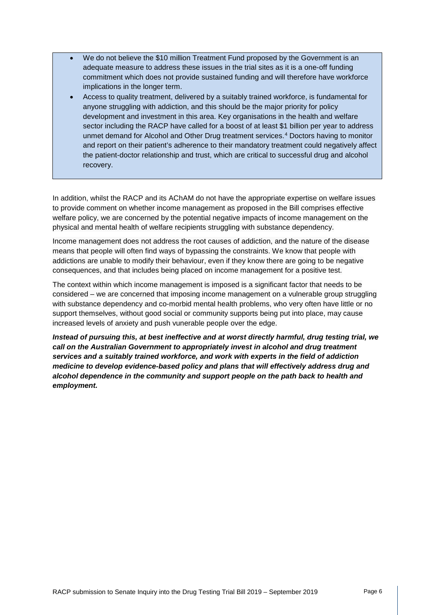- We do not believe the \$10 million Treatment Fund proposed by the Government is an adequate measure to address these issues in the trial sites as it is a one-off funding commitment which does not provide sustained funding and will therefore have workforce implications in the longer term.
- Access to quality treatment, delivered by a suitably trained workforce, is fundamental for anyone struggling with addiction, and this should be the major priority for policy development and investment in this area. Key organisations in the health and welfare sector including the RACP have called for a boost of at least \$1 billion per year to address unmet demand for Alcohol and Other Drug treatment services.[4](#page-13-3) Doctors having to monitor and report on their patient's adherence to their mandatory treatment could negatively affect the patient-doctor relationship and trust, which are critical to successful drug and alcohol recovery.

In addition, whilst the RACP and its AChAM do not have the appropriate expertise on welfare issues to provide comment on whether income management as proposed in the Bill comprises effective welfare policy, we are concerned by the potential negative impacts of income management on the physical and mental health of welfare recipients struggling with substance dependency.

Income management does not address the root causes of addiction, and the nature of the disease means that people will often find ways of bypassing the constraints. We know that people with addictions are unable to modify their behaviour, even if they know there are going to be negative consequences, and that includes being placed on income management for a positive test.

The context within which income management is imposed is a significant factor that needs to be considered – we are concerned that imposing income management on a vulnerable group struggling with substance dependency and co-morbid mental health problems, who very often have little or no support themselves, without good social or community supports being put into place, may cause increased levels of anxiety and push vunerable people over the edge.

*Instead of pursuing this, at best ineffective and at worst directly harmful, drug testing trial, we call on the Australian Government to appropriately invest in alcohol and drug treatment services and a suitably trained workforce, and work with experts in the field of addiction medicine to develop evidence-based policy and plans that will effectively address drug and alcohol dependence in the community and support people on the path back to health and employment.*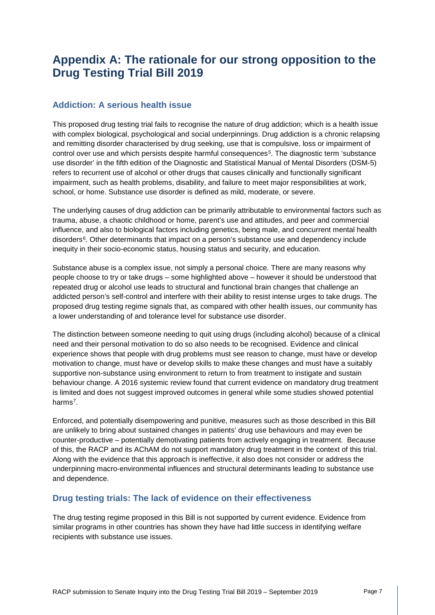## **Appendix A: The rationale for our strong opposition to the Drug Testing Trial Bill 2019**

#### **Addiction: A serious health issue**

This proposed drug testing trial fails to recognise the nature of drug addiction; which is a health issue with complex biological, psychological and social underpinnings. Drug addiction is a chronic relapsing and remitting disorder characterised by drug seeking, use that is compulsive, loss or impairment of control over use and which persists despite harmful consequences[5.](#page-13-4) The diagnostic term 'substance use disorder' in the fifth edition of the Diagnostic and Statistical Manual of Mental Disorders (DSM-5) refers to recurrent use of alcohol or other drugs that causes clinically and functionally significant impairment, such as health problems, disability, and failure to meet major responsibilities at work, school, or home. Substance use disorder is defined as mild, moderate, or severe.

The underlying causes of drug addiction can be primarily attributable to environmental factors such as trauma, abuse, a chaotic childhood or home, parent's use and attitudes, and peer and commercial influence, and also to biological factors including genetics, being male, and concurrent mental health disorders<sup>[6](#page-13-5)</sup>. Other determinants that impact on a person's substance use and dependency include inequity in their socio-economic status, housing status and security, and education.

Substance abuse is a complex issue, not simply a personal choice. There are many reasons why people choose to try or take drugs – some highlighted above – however it should be understood that repeated drug or alcohol use leads to structural and functional brain changes that challenge an addicted person's self-control and interfere with their ability to resist intense urges to take drugs. The proposed drug testing regime signals that, as compared with other health issues, our community has a lower understanding of and tolerance level for substance use disorder.

The distinction between someone needing to quit using drugs (including alcohol) because of a clinical need and their personal motivation to do so also needs to be recognised. Evidence and clinical experience shows that people with drug problems must see reason to change, must have or develop motivation to change, must have or develop skills to make these changes and must have a suitably supportive non-substance using environment to return to from treatment to instigate and sustain behaviour change. A 2016 systemic review found that current evidence on mandatory drug treatment is limited and does not suggest improved outcomes in general while some studies showed potential harms<sup>7</sup>.

Enforced, and potentially disempowering and punitive, measures such as those described in this Bill are unlikely to bring about sustained changes in patients' drug use behaviours and may even be counter-productive – potentially demotivating patients from actively engaging in treatment. Because of this, the RACP and its AChAM do not support mandatory drug treatment in the context of this trial. Along with the evidence that this approach is ineffective, it also does not consider or address the underpinning macro-environmental influences and structural determinants leading to substance use and dependence.

### **Drug testing trials: The lack of evidence on their effectiveness**

The drug testing regime proposed in this Bill is not supported by current evidence. Evidence from similar programs in other countries has shown they have had little success in identifying welfare recipients with substance use issues.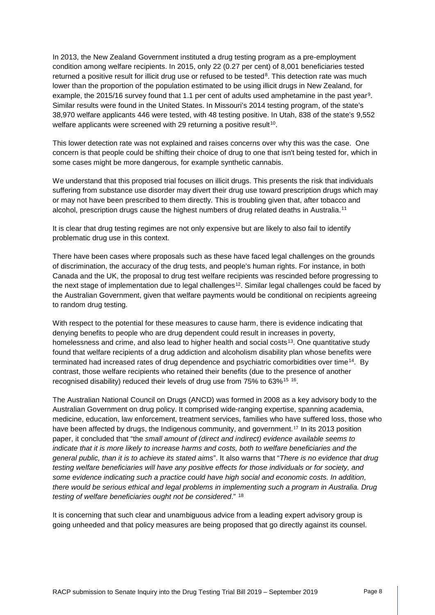In 2013, the New Zealand Government instituted a drug testing program as a pre-employment condition among welfare recipients. In 2015, only 22 (0.27 per cent) of 8,001 beneficiaries tested returned a positive result for illicit drug use or refused to be tested<sup>[8](#page-13-7)</sup>. This detection rate was much lower than the proportion of the population estimated to be using illicit drugs in New Zealand, for example, the 2015/16 survey found that 1.1 per cent of adults used amphetamine in the past year[9](#page-13-8). Similar results were found in the United States. In Missouri's 2014 testing program, of the state's 38,970 welfare applicants 446 were tested, with 48 testing positive. In Utah, 838 of the state's 9,552 welfare applicants were screened with 29 returning a positive result<sup>[10](#page-13-9)</sup>.

This lower detection rate was not explained and raises concerns over why this was the case. One concern is that people could be shifting their choice of drug to one that isn't being tested for, which in some cases might be more dangerous, for example synthetic cannabis.

We understand that this proposed trial focuses on illicit drugs. This presents the risk that individuals suffering from substance use disorder may divert their drug use toward prescription drugs which may or may not have been prescribed to them directly. This is troubling given that, after tobacco and alcohol, prescription drugs cause the highest numbers of drug related deaths in Australia.[11](#page-13-10)

It is clear that drug testing regimes are not only expensive but are likely to also fail to identify problematic drug use in this context.

There have been cases where proposals such as these have faced legal challenges on the grounds of discrimination, the accuracy of the drug tests, and people's human rights. For instance, in both Canada and the UK, the proposal to drug test welfare recipients was rescinded before progressing to the next stage of implementation due to legal challenges<sup>[12](#page-13-11)</sup>. Similar legal challenges could be faced by the Australian Government, given that welfare payments would be conditional on recipients agreeing to random drug testing.

With respect to the potential for these measures to cause harm, there is evidence indicating that denying benefits to people who are drug dependent could result in increases in poverty, homelessness and crime, and also lead to higher health and social costs<sup>[13](#page-13-12)</sup>. One quantitative study found that welfare recipients of a drug addiction and alcoholism disability plan whose benefits were terminated had increased rates of drug dependence and psychiatric comorbidities over time[14](#page-13-13). By contrast, those welfare recipients who retained their benefits (due to the presence of another recognised disability) reduced their levels of drug use from 75% to 63%[15](#page-13-14) [16](#page-13-15).

The Australian National Council on Drugs (ANCD) was formed in 2008 as a key advisory body to the Australian Government on drug policy. It comprised wide-ranging expertise, spanning academia, medicine, education, law enforcement, treatment services, families who ha[ve](#page-13-16) suffered loss, those who have been affected by drugs, the Indigenous community, and government.<sup>17</sup> In its 2013 position paper, it concluded that "the *small amount of (direct and indirect) evidence available seems to indicate that it is more likely to increase harms and costs, both to welfare beneficiaries and the general public, than it is to achieve its stated aims*". It also warns that "*There is no evidence that drug testing welfare beneficiaries will have any positive effects for those individuals or for society, and some evidence indicating such a practice could have high social and economic costs. In addition, there would be serious ethical and legal problems in implementing such a program in Australia. Drug testing of welfare beneficiaries ought not be considered*." [18](#page-13-17)

It is concerning that such clear and unambiguous advice from a leading expert advisory group is going unheeded and that policy measures are being proposed that go directly against its counsel.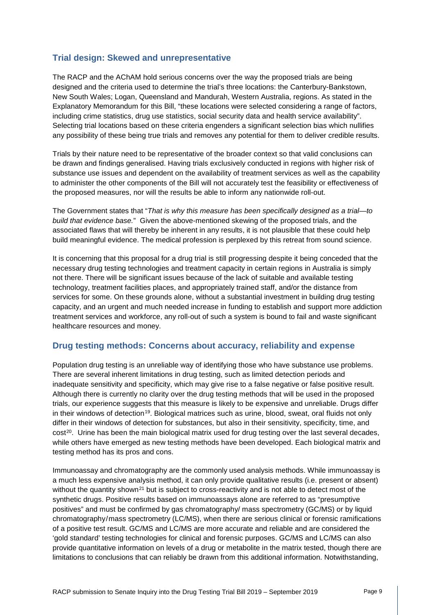### **Trial design: Skewed and unrepresentative**

The RACP and the AChAM hold serious concerns over the way the proposed trials are being designed and the criteria used to determine the trial's three locations: the Canterbury-Bankstown, New South Wales; Logan, Queensland and Mandurah, Western Australia, regions. As stated in the Explanatory Memorandum for this Bill, "these locations were selected considering a range of factors, including crime statistics, drug use statistics, social security data and health service availability". Selecting trial locations based on these criteria engenders a significant selection bias which nullifies any possibility of these being true trials and removes any potential for them to deliver credible results.

Trials by their nature need to be representative of the broader context so that valid conclusions can be drawn and findings generalised. Having trials exclusively conducted in regions with higher risk of substance use issues and dependent on the availability of treatment services as well as the capability to administer the other components of the Bill will not accurately test the feasibility or effectiveness of the proposed measures, nor will the results be able to inform any nationwide roll-out.

The Government states that "*That is why this measure has been specifically designed as a trial—to build that evidence base.*" Given the above-mentioned skewing of the proposed trials, and the associated flaws that will thereby be inherent in any results, it is not plausible that these could help build meaningful evidence. The medical profession is perplexed by this retreat from sound science.

It is concerning that this proposal for a drug trial is still progressing despite it being conceded that the necessary drug testing technologies and treatment capacity in certain regions in Australia is simply not there. There will be significant issues because of the lack of suitable and available testing technology, treatment facilities places, and appropriately trained staff, and/or the distance from services for some. On these grounds alone, without a substantial investment in building drug testing capacity, and an urgent and much needed increase in funding to establish and support more addiction treatment services and workforce, any roll-out of such a system is bound to fail and waste significant healthcare resources and money.

#### **Drug testing methods: Concerns about accuracy, reliability and expense**

Population drug testing is an unreliable way of identifying those who have substance use problems. There are several inherent limitations in drug testing, such as limited detection periods and inadequate sensitivity and specificity, which may give rise to a false negative or false positive result. Although there is currently no clarity over the drug testing methods that will be used in the proposed trials, our experience suggests that this measure is likely to be expensive and unreliable. Drugs differ in their windows of detection<sup>[19](#page-13-18)</sup>. Biological matrices such as urine, blood, sweat, oral fluids not only differ in their windows of detection for substances, but also in their sensitivity, specificity, time, and cost<sup>[20](#page-13-19)</sup>. Urine has been the main biological matrix used for drug testing over the last several decades, while others have emerged as new testing methods have been developed. Each biological matrix and testing method has its pros and cons.

Immunoassay and chromatography are the commonly used analysis methods. While immunoassay is a much less expensive analysis method, it can only provide qualitative results (i.e. present or absent) without the quantity shown<sup>[21](#page-13-20)</sup> but is subject to cross-reactivity and is not able to detect most of the synthetic drugs. Positive results based on immunoassays alone are referred to as "presumptive positives" and must be confirmed by gas chromatography/ mass spectrometry (GC/MS) or by liquid chromatography/mass spectrometry (LC/MS), when there are serious clinical or forensic ramifications of a positive test result. GC/MS and LC/MS are more accurate and reliable and are considered the 'gold standard' testing technologies for clinical and forensic purposes. GC/MS and LC/MS can also provide quantitative information on levels of a drug or metabolite in the matrix tested, though there are limitations to conclusions that can reliably be drawn from this additional information. Notwithstanding,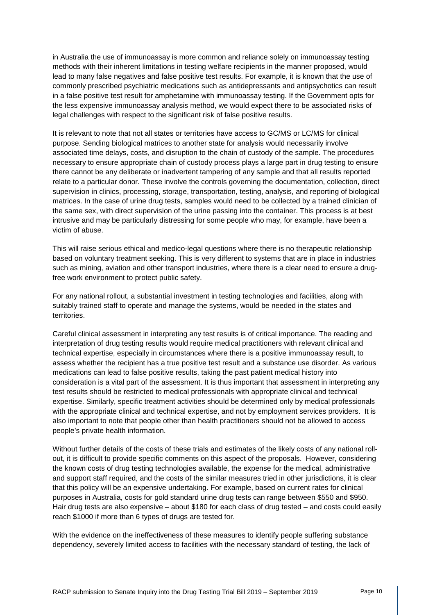in Australia the use of immunoassay is more common and reliance solely on immunoassay testing methods with their inherent limitations in testing welfare recipients in the manner proposed, would lead to many false negatives and false positive test results. For example, it is known that the use of commonly prescribed psychiatric medications such as antidepressants and antipsychotics can result in a false positive test result for amphetamine with immunoassay testing. If the Government opts for the less expensive immunoassay analysis method, we would expect there to be associated risks of legal challenges with respect to the significant risk of false positive results.

It is relevant to note that not all states or territories have access to GC/MS or LC/MS for clinical purpose. Sending biological matrices to another state for analysis would necessarily involve associated time delays, costs, and disruption to the chain of custody of the sample. The procedures necessary to ensure appropriate chain of custody process plays a large part in drug testing to ensure there cannot be any deliberate or inadvertent tampering of any sample and that all results reported relate to a particular donor. These involve the controls governing the documentation, collection, direct supervision in clinics, processing, storage, transportation, testing, analysis, and reporting of biological matrices. In the case of urine drug tests, samples would need to be collected by a trained clinician of the same sex, with direct supervision of the urine passing into the container. This process is at best intrusive and may be particularly distressing for some people who may, for example, have been a victim of abuse.

This will raise serious ethical and medico-legal questions where there is no therapeutic relationship based on voluntary treatment seeking. This is very different to systems that are in place in industries such as mining, aviation and other transport industries, where there is a clear need to ensure a drugfree work environment to protect public safety.

For any national rollout, a substantial investment in testing technologies and facilities, along with suitably trained staff to operate and manage the systems, would be needed in the states and territories.

Careful clinical assessment in interpreting any test results is of critical importance. The reading and interpretation of drug testing results would require medical practitioners with relevant clinical and technical expertise, especially in circumstances where there is a positive immunoassay result, to assess whether the recipient has a true positive test result and a substance use disorder. As various medications can lead to false positive results, taking the past patient medical history into consideration is a vital part of the assessment. It is thus important that assessment in interpreting any test results should be restricted to medical professionals with appropriate clinical and technical expertise. Similarly, specific treatment activities should be determined only by medical professionals with the appropriate clinical and technical expertise, and not by employment services providers. It is also important to note that people other than health practitioners should not be allowed to access people's private health information.

Without further details of the costs of these trials and estimates of the likely costs of any national rollout, it is difficult to provide specific comments on this aspect of the proposals. However, considering the known costs of drug testing technologies available, the expense for the medical, administrative and support staff required, and the costs of the similar measures tried in other jurisdictions, it is clear that this policy will be an expensive undertaking. For example, based on current rates for clinical purposes in Australia, costs for gold standard urine drug tests can range between \$550 and \$950. Hair drug tests are also expensive – about \$180 for each class of drug tested – and costs could easily reach \$1000 if more than 6 types of drugs are tested for.

With the evidence on the ineffectiveness of these measures to identify people suffering substance dependency, severely limited access to facilities with the necessary standard of testing, the lack of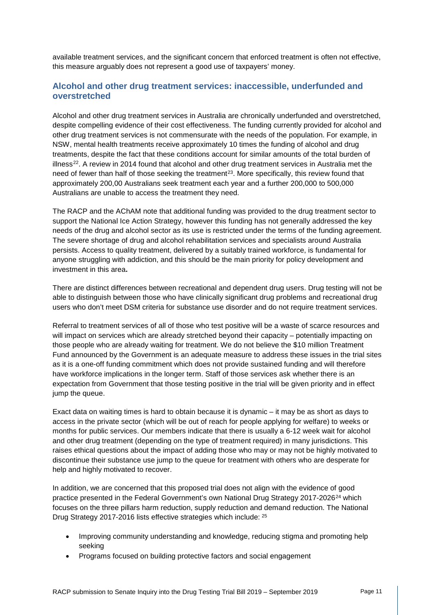available treatment services, and the significant concern that enforced treatment is often not effective, this measure arguably does not represent a good use of taxpayers' money.

### **Alcohol and other drug treatment services: inaccessible, underfunded and overstretched**

Alcohol and other drug treatment services in Australia are chronically underfunded and overstretched, despite compelling evidence of their cost effectiveness. The funding currently provided for alcohol and other drug treatment services is not commensurate with the needs of the population. For example, in NSW, mental health treatments receive approximately 10 times the funding of alcohol and drug treatments, despite the fact that these conditions account for similar amounts of the total burden of illness[22.](#page-13-21) A review in 2014 found that alcohol and other drug treatment services in Australia met the need of fewer than half of those seeking the treatment<sup>23</sup>. More specifically, this review found that approximately 200,00 Australians seek treatment each year and a further 200,000 to 500,000 Australians are unable to access the treatment they need.

The RACP and the AChAM note that additional funding was provided to the drug treatment sector to support the National Ice Action Strategy, however this funding has not generally addressed the key needs of the drug and alcohol sector as its use is restricted under the terms of the funding agreement. The severe shortage of drug and alcohol rehabilitation services and specialists around Australia persists. Access to quality treatment, delivered by a suitably trained workforce, is fundamental for anyone struggling with addiction, and this should be the main priority for policy development and investment in this area**.**

There are distinct differences between recreational and dependent drug users. Drug testing will not be able to distinguish between those who have clinically significant drug problems and recreational drug users who don't meet DSM criteria for substance use disorder and do not require treatment services.

Referral to treatment services of all of those who test positive will be a waste of scarce resources and will impact on services which are already stretched beyond their capacity – potentially impacting on those people who are already waiting for treatment. We do not believe the \$10 million Treatment Fund announced by the Government is an adequate measure to address these issues in the trial sites as it is a one-off funding commitment which does not provide sustained funding and will therefore have workforce implications in the longer term. Staff of those services ask whether there is an expectation from Government that those testing positive in the trial will be given priority and in effect jump the queue.

Exact data on waiting times is hard to obtain because it is dynamic – it may be as short as days to access in the private sector (which will be out of reach for people applying for welfare) to weeks or months for public services. Our members indicate that there is usually a 6-12 week wait for alcohol and other drug treatment (depending on the type of treatment required) in many jurisdictions. This raises ethical questions about the impact of adding those who may or may not be highly motivated to discontinue their substance use jump to the queue for treatment with others who are desperate for help and highly motivated to recover.

In addition, we are concerned that this proposed trial does not align with the evidence of good practice presented in the Federal Government's own National Drug Strategy 2017-2026<sup>[24](#page-13-23)</sup> which focuses on the three pillars harm reduction, supply reduction and demand reduction. The National Drug Strategy 2017-2016 lists effective strategies which include: [25](#page-13-24)

- Improving community understanding and knowledge, reducing stigma and promoting help seeking
- Programs focused on building protective factors and social engagement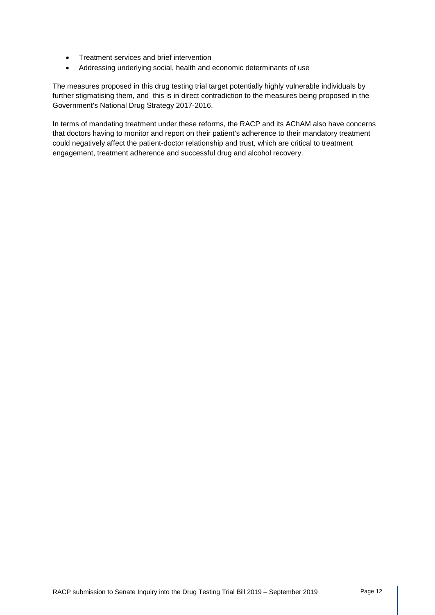- Treatment services and brief intervention
- Addressing underlying social, health and economic determinants of use

The measures proposed in this drug testing trial target potentially highly vulnerable individuals by further stigmatising them, and this is in direct contradiction to the measures being proposed in the Government's National Drug Strategy 2017-2016.

In terms of mandating treatment under these reforms, the RACP and its AChAM also have concerns that doctors having to monitor and report on their patient's adherence to their mandatory treatment could negatively affect the patient-doctor relationship and trust, which are critical to treatment engagement, treatment adherence and successful drug and alcohol recovery.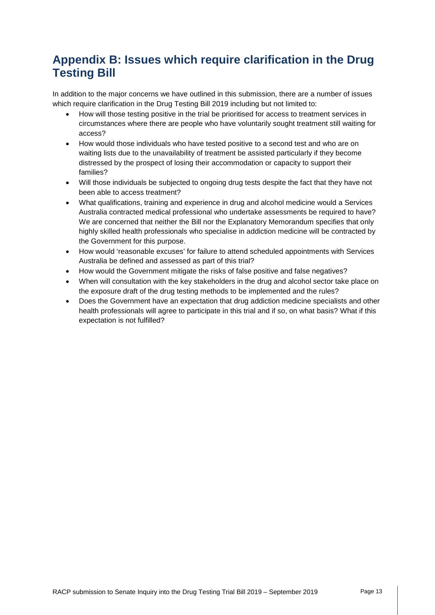# **Appendix B: Issues which require clarification in the Drug Testing Bill**

In addition to the major concerns we have outlined in this submission, there are a number of issues which require clarification in the Drug Testing Bill 2019 including but not limited to:

- How will those testing positive in the trial be prioritised for access to treatment services in circumstances where there are people who have voluntarily sought treatment still waiting for access?
- How would those individuals who have tested positive to a second test and who are on waiting lists due to the unavailability of treatment be assisted particularly if they become distressed by the prospect of losing their accommodation or capacity to support their families?
- Will those individuals be subjected to ongoing drug tests despite the fact that they have not been able to access treatment?
- What qualifications, training and experience in drug and alcohol medicine would a Services Australia contracted medical professional who undertake assessments be required to have? We are concerned that neither the Bill nor the Explanatory Memorandum specifies that only highly skilled health professionals who specialise in addiction medicine will be contracted by the Government for this purpose.
- How would 'reasonable excuses' for failure to attend scheduled appointments with Services Australia be defined and assessed as part of this trial?
- How would the Government mitigate the risks of false positive and false negatives?
- When will consultation with the key stakeholders in the drug and alcohol sector take place on the exposure draft of the drug testing methods to be implemented and the rules?
- Does the Government have an expectation that drug addiction medicine specialists and other health professionals will agree to participate in this trial and if so, on what basis? What if this expectation is not fulfilled?